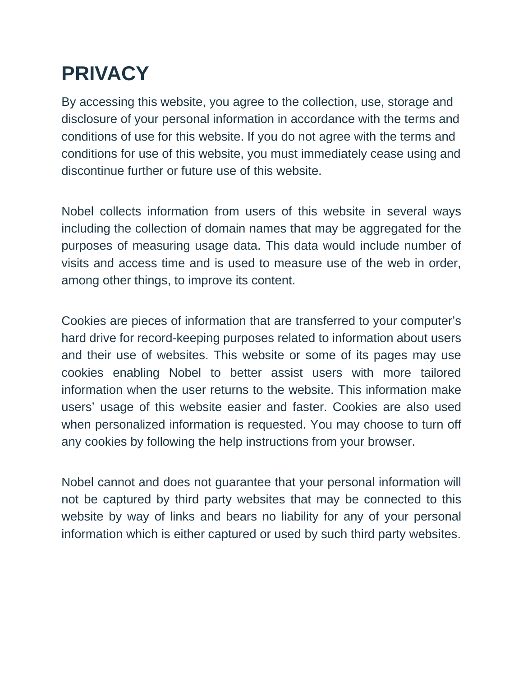## **PRIVACY**

By accessing this website, you agree to the collection, use, storage and disclosure of your personal information in accordance with the terms and conditions of use for this website. If you do not agree with the terms and conditions for use of this website, you must immediately cease using and discontinue further or future use of this website.

Nobel collects information from users of this website in several ways including the collection of domain names that may be aggregated for the purposes of measuring usage data. This data would include number of visits and access time and is used to measure use of the web in order, among other things, to improve its content.

Cookies are pieces of information that are transferred to your computer's hard drive for record-keeping purposes related to information about users and their use of websites. This website or some of its pages may use cookies enabling Nobel to better assist users with more tailored information when the user returns to the website. This information make users' usage of this website easier and faster. Cookies are also used when personalized information is requested. You may choose to turn off any cookies by following the help instructions from your browser.

Nobel cannot and does not guarantee that your personal information will not be captured by third party websites that may be connected to this website by way of links and bears no liability for any of your personal information which is either captured or used by such third party websites.